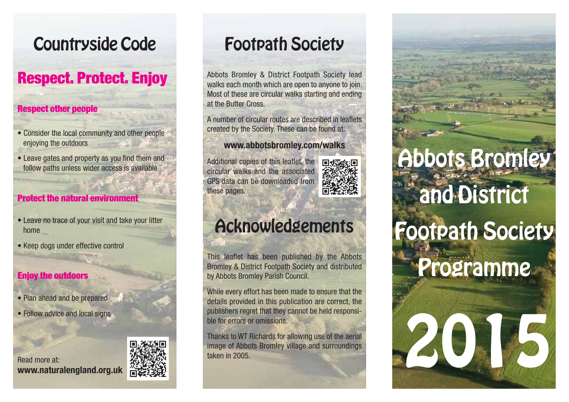# Countryside Code

# Respect. Protect. Enjoy

#### Respect other people

- Consider the local community and other people enjoying the outdoors
- Leave gates and property as you find them and follow paths unless wider access is available

#### **Protect the natural environment**

- Leave no trace of your visit and take your litter home
- Keep dogs under effective control

#### Enjoy the outdoors

- Plan ahead and be prepared
- Follow advice and local signs

#### Read more at:**www.naturalengland.org.uk**



# Footpath Society

Abbots Bromley & District Footpath Society lead walks each month which are open to anyone to join. Most of these are circular walks starting and ending at the Butter Cross.

A number of circular routes are described in leafletscreated by the Society. These can be found at:

#### **www.abbotsbromley.com/walks**

Additional copies of this leaflet, the circular walks and the associatedGPS data can be downloaded fromthese pages.



# Acknowledgements

This leaflet has been published by the Abbots Bromley & District Footpath Society and distributed by Abbots Bromley Parish Council.

While every effort has been made to ensure that the details provided in this publication are correct, the publishers regret that they cannot be held responsible for errors or omissions.

Thanks to WT Richards for allowing use of the aerial image of Abbots Bromley village and surroundings taken in 2005.